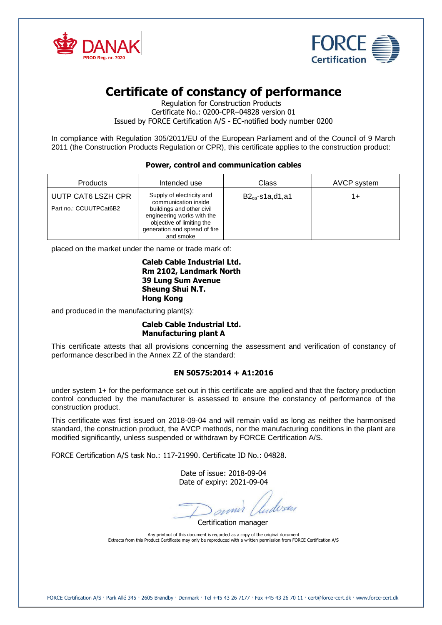



# **Certificate of constancy of performance**

Regulation for Construction Products Certificate No.: 0200-CPR–04828 version 01 Issued by FORCE Certification A/S - EC-notified body number 0200

In compliance with Regulation 305/2011/EU of the European Parliament and of the Council of 9 March 2011 (the Construction Products Regulation or CPR), this certificate applies to the construction product:

## **Power, control and communication cables**

| <b>Products</b>                              | Intended use                                                                                                                                                                            | Class                | AVCP system |
|----------------------------------------------|-----------------------------------------------------------------------------------------------------------------------------------------------------------------------------------------|----------------------|-------------|
| UUTP CAT6 LSZH CPR<br>Part no.: CCUUTPCat6B2 | Supply of electricity and<br>communication inside<br>buildings and other civil<br>engineering works with the<br>objective of limiting the<br>generation and spread of fire<br>and smoke | $B2_{ca}$ -s1a,d1,a1 | 1+          |

placed on the market under the name or trade mark of:

#### **Caleb Cable Industrial Ltd. Rm 2102, Landmark North 39 Lung Sum Avenue Sheung Shui N.T. Hong Kong**

and produced in the manufacturing plant(s):

# **Caleb Cable Industrial Ltd. Manufacturing plant A**

This certificate attests that all provisions concerning the assessment and verification of constancy of performance described in the Annex ZZ of the standard:

## **EN 50575:2014 + A1:2016**

under system 1+ for the performance set out in this certificate are applied and that the factory production control conducted by the manufacturer is assessed to ensure the constancy of performance of the construction product.

This certificate was first issued on 2018-09-04 and will remain valid as long as neither the harmonised standard, the construction product, the AVCP methods, nor the manufacturing conditions in the plant are modified significantly, unless suspended or withdrawn by FORCE Certification A/S.

FORCE Certification A/S task No.: 117-21990. Certificate ID No.: 04828.

Date of issue: 2018-09-04 Date of expiry: 2021-09-04

annis / ludvan

Certification manager

Any printout of this document is regarded as a copy of the original document Extracts from this Product Certificate may only be reproduced with a written permission from FORCE Certification A/S